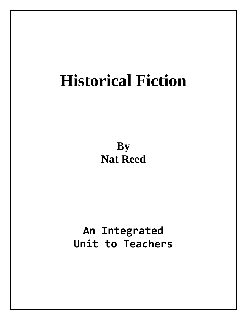# **Historical Fiction**

**By Nat Reed**

**An Integrated Unit to Teachers**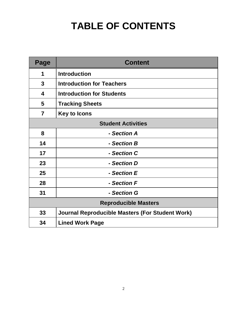## **TABLE OF CONTENTS**

| Page                        | <b>Content</b>                                         |  |  |
|-----------------------------|--------------------------------------------------------|--|--|
| 1                           | <b>Introduction</b>                                    |  |  |
| 3                           | <b>Introduction for Teachers</b>                       |  |  |
| 4                           | <b>Introduction for Students</b>                       |  |  |
| 5                           | <b>Tracking Sheets</b>                                 |  |  |
| $\overline{7}$              | <b>Key to Icons</b>                                    |  |  |
|                             | <b>Student Activities</b>                              |  |  |
| 8                           | - Section A                                            |  |  |
| 14                          | - Section B                                            |  |  |
| 17                          | - Section C                                            |  |  |
| 23                          | - Section D                                            |  |  |
| 25                          | - Section E                                            |  |  |
| 28                          | - Section F                                            |  |  |
| 31                          | - Section G                                            |  |  |
| <b>Reproducible Masters</b> |                                                        |  |  |
| 33                          | <b>Journal Reproducible Masters (For Student Work)</b> |  |  |
| 34                          | <b>Lined Work Page</b>                                 |  |  |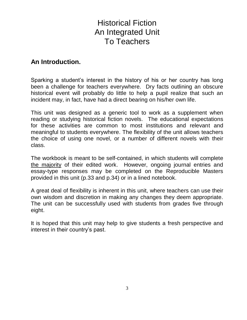### Historical Fiction An Integrated Unit To Teachers

#### **An Introduction.**

Sparking a student's interest in the history of his or her country has long been a challenge for teachers everywhere. Dry facts outlining an obscure historical event will probably do little to help a pupil realize that such an incident may, in fact, have had a direct bearing on his/her own life.

This unit was designed as a generic tool to work as a supplement when reading or studying historical fiction novels. The educational expectations for these activities are common to most institutions and relevant and meaningful to students everywhere. The flexibility of the unit allows teachers the choice of using one novel, or a number of different novels with their class.

The workbook is meant to be self-contained, in which students will complete the majority of their edited work. However, ongoing journal entries and essay-type responses may be completed on the Reproducible Masters provided in this unit (p.33 and p.34) or in a lined notebook.

A great deal of flexibility is inherent in this unit, where teachers can use their own wisdom and discretion in making any changes they deem appropriate. The unit can be successfully used with students from grades five through eight.

It is hoped that this unit may help to give students a fresh perspective and interest in their country's past.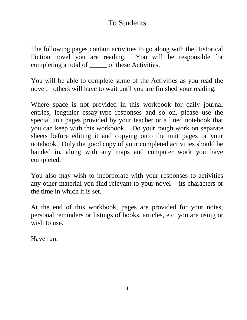### To Students

The following pages contain activities to go along with the Historical Fiction novel you are reading. You will be responsible for completing a total of **\_\_\_\_\_** of these Activities.

You will be able to complete some of the Activities as you read the novel; others will have to wait until you are finished your reading.

Where space is not provided in this workbook for daily journal entries, lengthier essay-type responses and so on, please use the special unit pages provided by your teacher or a lined notebook that you can keep with this workbook. Do your rough work on separate sheets before editing it and copying onto the unit pages or your notebook. Only the good copy of your completed activities should be handed in, along with any maps and computer work you have completed.

You also may wish to incorporate with your responses to activities any other material you find relevant to your novel – its characters or the time in which it is set.

At the end of this workbook, pages are provided for your notes, personal reminders or listings of books, articles, etc. you are using or wish to use.

Have fun.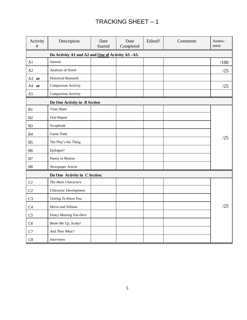#### TRACKING SHEET – 1

| Activity<br>$\#$   | Description                                      | Date<br>Started | Date<br>Completed | Edited? | Comments | Assess-<br>ment |  |  |
|--------------------|--------------------------------------------------|-----------------|-------------------|---------|----------|-----------------|--|--|
|                    | Do Activity A1 and A2 and One of Activity A3-A5. |                 |                   |         |          |                 |  |  |
| A1                 | Journal                                          |                 |                   |         |          | /100            |  |  |
| A2                 | Analysis of Novel                                |                 |                   |         |          | /25             |  |  |
| $A3$ or            | <b>Historical Research</b>                       |                 |                   |         |          |                 |  |  |
| A4 or              | Comparison Activity                              |                 |                   |         |          | /25             |  |  |
| A5                 | Comparison Activity                              |                 |                   |         |          |                 |  |  |
|                    | Do One Activity in B Section                     |                 |                   |         |          |                 |  |  |
| B1                 | <b>Time Sheet</b>                                |                 |                   |         |          |                 |  |  |
| B2                 | Oral Report                                      |                 |                   |         |          |                 |  |  |
| B <sub>3</sub>     | Scrapbook                                        |                 |                   |         |          |                 |  |  |
| B4                 | Game Time                                        |                 |                   |         |          |                 |  |  |
| B <sub>5</sub>     | The Play's the Thing.                            |                 |                   |         |          | /25             |  |  |
| <b>B6</b>          | Epilogue?                                        |                 |                   |         |          |                 |  |  |
| B7                 | Poetry in Motion                                 |                 |                   |         |          |                 |  |  |
| ${\bf B8}$         | Newspaper Article                                |                 |                   |         |          |                 |  |  |
|                    | Do One Activity in C Section.                    |                 |                   |         |          |                 |  |  |
| CI                 | The Main Characters                              |                 |                   |         |          |                 |  |  |
| C <sub>2</sub>     | Character Development                            |                 |                   |         |          |                 |  |  |
| C <sub>3</sub>     | Getting To Know You                              |                 |                   |         |          |                 |  |  |
| C4                 | Heros and Villains                               |                 |                   |         |          | /25             |  |  |
| C <sub>5</sub>     | Fancy Meeting You Here                           |                 |                   |         |          |                 |  |  |
| C6                 | Beam Me Up, Scotty!                              |                 |                   |         |          |                 |  |  |
| ${\cal C}{\cal 7}$ | And Then What?                                   |                 |                   |         |          |                 |  |  |
| ${\cal C}8$        | <i>Interviews</i>                                |                 |                   |         |          |                 |  |  |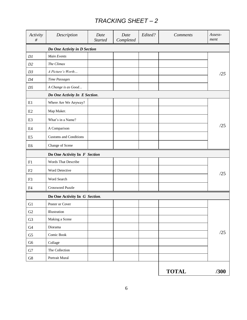#### *TRACKING SHEET – 2*

| Activity<br>$\#$ | Description                   | Date<br><b>Started</b> | Date<br>Completed | Edited? | <b>Comments</b> | Assess-<br>ment |
|------------------|-------------------------------|------------------------|-------------------|---------|-----------------|-----------------|
|                  | Do One Activity in D Section  |                        |                   |         |                 |                 |
| DI               | Main Events                   |                        |                   |         |                 |                 |
| D2               | The Climax                    |                        |                   |         |                 |                 |
| D3               | A Picture's Worth             |                        |                   |         |                 | /25             |
| $D4$             | <b>Time Passages</b>          |                        |                   |         |                 |                 |
| D5               | A Change is as Good           |                        |                   |         |                 |                 |
|                  | Do One Activity In E Section. |                        |                   |         |                 |                 |
| E1               | Where Are We Anyway?          |                        |                   |         |                 |                 |
| E2               | Map Maker.                    |                        |                   |         |                 |                 |
| E <sub>3</sub>   | What's in a Name?             |                        |                   |         |                 |                 |
| E4               | A Comparison                  |                        |                   |         |                 | /25             |
| E <sub>5</sub>   | <b>Customs and Conditions</b> |                        |                   |         |                 |                 |
| E <sub>6</sub>   | Change of Scene               |                        |                   |         |                 |                 |
|                  | Do One Activity In F Section  |                        |                   |         |                 |                 |
| F1               | Words That Describe           |                        |                   |         |                 |                 |
| F2               | Word Detective                |                        |                   |         |                 | /25             |
| F <sub>3</sub>   | Word Search                   |                        |                   |         |                 |                 |
| F4               | Crossword Puzzle              |                        |                   |         |                 |                 |
|                  | Do One Activity In G Section. |                        |                   |         |                 |                 |
| G1               | Poster or Cover               |                        |                   |         |                 |                 |
| ${\rm G2}$       | Illustration                  |                        |                   |         |                 |                 |
| G <sub>3</sub>   | Making a Scene                |                        |                   |         |                 |                 |
| ${\rm G}4$       | Diorama                       |                        |                   |         |                 |                 |
| ${\rm G}5$       | Comic Book                    |                        |                   |         |                 | /25             |
| G <sub>6</sub>   | Collage                       |                        |                   |         |                 |                 |
| ${\rm G}7$       | The Collection                |                        |                   |         |                 |                 |
| ${\rm G}8$       | Portrait Mural                |                        |                   |         |                 |                 |
|                  |                               |                        |                   |         | <b>TOTAL</b>    | /300            |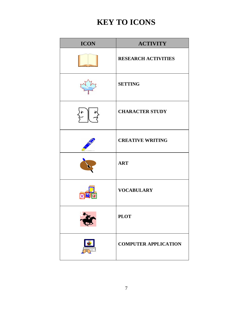### **KEY TO ICONS**

| <b>ICON</b> | <b>ACTIVITY</b>             |
|-------------|-----------------------------|
|             | <b>RESEARCH ACTIVITIES</b>  |
|             | <b>SETTING</b>              |
|             | <b>CHARACTER STUDY</b>      |
|             | <b>CREATIVE WRITING</b>     |
|             | <b>ART</b>                  |
|             | <b>VOCABULARY</b>           |
|             | <b>PLOT</b>                 |
|             | <b>COMPUTER APPLICATION</b> |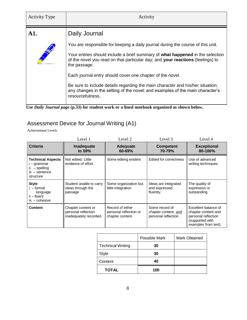| <b>Activity Type</b> | Activity                                                                                                                                                                            |
|----------------------|-------------------------------------------------------------------------------------------------------------------------------------------------------------------------------------|
| A1.                  | Daily Journal                                                                                                                                                                       |
|                      | You are responsible for keeping a daily journal during the course of this unit.                                                                                                     |
|                      | Your entries should include a brief summary of what happened in the selection<br>of the novel you read on that particular day; and your reactions (feelings) to<br>the passage.     |
|                      | Each journal entry should cover one chapter of the novel.                                                                                                                           |
|                      | Be sure to include details regarding the main character and his/her situation;<br>any changes in the setting of the novel; and examples of the main character's<br>resourcefulness. |



#### Assessment Device for Journal Writing (A1)

Achievement Levels

|                                                                                           | Level 1                                                             | Level 2                                                        | Level 3                                                        | Level 4                                                                                                       |
|-------------------------------------------------------------------------------------------|---------------------------------------------------------------------|----------------------------------------------------------------|----------------------------------------------------------------|---------------------------------------------------------------------------------------------------------------|
| <b>Criteria</b>                                                                           | Inadequate<br>to 59%                                                | Adequate<br>60-69%                                             | <b>Competent</b><br>70-79%                                     | <b>Exceptional</b><br>80-100%                                                                                 |
| <b>Technical Aspects</b><br>i – grammar<br>ii. - spelling<br>iii. - sentence<br>structure | Not edited. Little<br>evidence of effort.                           | Some editing evident                                           | Edited for correctness                                         | Use of advanced<br>writing techniques                                                                         |
| <b>Style</b><br>$i. - formula$<br>language<br>ii – fluent<br>iii. - cohesive              | Student unable to carry<br>ideas through the<br>passage             | Some organization but<br>little integration                    | Ideas are integrated<br>and expressed<br>fluently.             | The quality of<br>expression is<br>outstanding                                                                |
| <b>Content</b>                                                                            | Chapter content or<br>personal reflection<br>inadequately recorded. | Record of either<br>personal reflection or<br>chapter content. | Some record of<br>chapter content, and<br>personal reflection. | Excellent balance of<br>chapter content and<br>personal reflection<br>(supported with<br>examples from text). |

|                          | Possible Mark | <b>Mark Obtained</b> |
|--------------------------|---------------|----------------------|
| <b>Technical Writing</b> | 30            |                      |
| <b>Style</b>             | 30            |                      |
| Content                  | 40            |                      |
| <b>TOTAL</b>             | 100           |                      |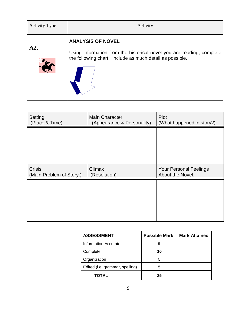| <b>Activity Type</b> | Activity                                                                                                                                                      |
|----------------------|---------------------------------------------------------------------------------------------------------------------------------------------------------------|
| A2.                  | <b>ANALYSIS OF NOVEL</b><br>Using information from the historical novel you are reading, complete<br>the following chart. Include as much detail as possible. |

| <b>Main Character</b><br>(Appearance & Personality) | Plot<br>(What happened in story?)                 |  |
|-----------------------------------------------------|---------------------------------------------------|--|
|                                                     |                                                   |  |
|                                                     |                                                   |  |
|                                                     |                                                   |  |
| Climax<br>(Resolution)                              | <b>Your Personal Feelings</b><br>About the Novel. |  |
|                                                     |                                                   |  |
|                                                     |                                                   |  |
|                                                     |                                                   |  |
|                                                     |                                                   |  |

| <b>ASSESSMENT</b>               | <b>Possible Mark</b> | <b>Mark Attained</b> |
|---------------------------------|----------------------|----------------------|
| Information Accurate            | 5                    |                      |
| Complete                        | 10                   |                      |
| Organization                    | 5                    |                      |
| Edited (i.e. grammar, spelling) | 5                    |                      |
| <b>TOTAL</b>                    | 25                   |                      |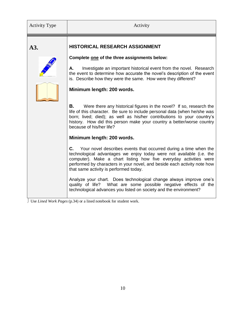| <b>Activity Type</b> | Activity                                                                                                                                                                                                                                                                                                                                      |
|----------------------|-----------------------------------------------------------------------------------------------------------------------------------------------------------------------------------------------------------------------------------------------------------------------------------------------------------------------------------------------|
| A3.                  | HISTORICAL RESEARCH ASSIGNMENT                                                                                                                                                                                                                                                                                                                |
|                      | Complete one of the three assignments below:                                                                                                                                                                                                                                                                                                  |
|                      | Investigate an important historical event from the novel. Research<br>А.<br>the event to determine how accurate the novel's description of the event<br>is. Describe how they were the same. How were they different?                                                                                                                         |
|                      | Minimum length: 200 words.                                                                                                                                                                                                                                                                                                                    |
|                      | В.<br>Were there any historical figures in the novel? If so, research the<br>life of this character. Be sure to include personal data (when he/she was<br>born; lived; died); as well as his/her contributions to your country's<br>history. How did this person make your country a better/worse country<br>because of his/her life?         |
|                      | Minimum length: 200 words.                                                                                                                                                                                                                                                                                                                    |
|                      | <b>C.</b> Your novel describes events that occurred during a time when the<br>technological advantages we enjoy today were not available (i.e. the<br>computer). Make a chart listing how five everyday activities were<br>performed by characters in your novel, and beside each activity note how<br>that same activity is performed today. |
|                      | Analyze your chart. Does technological change always improve one's<br>quality of life? What are some possible negative effects of the<br>technological advances you listed on society and the environment?                                                                                                                                    |

Use *Lined Work Pages* (p.34) or a lined notebook for student work.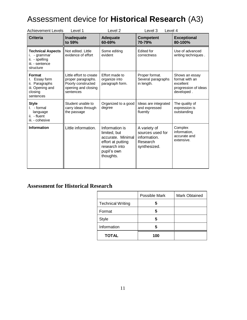### Assessment device for **Historical Research** (A3)

| <b>Achievement Levels</b>                                                               | Level 1                                                                                                 | Level <sub>2</sub><br>Level 3<br>Level 4                                                                              |                                                                              |                                                                                     |
|-----------------------------------------------------------------------------------------|---------------------------------------------------------------------------------------------------------|-----------------------------------------------------------------------------------------------------------------------|------------------------------------------------------------------------------|-------------------------------------------------------------------------------------|
| <b>Criteria</b>                                                                         | Inadequate<br>to 59%                                                                                    | <b>Adequate</b><br>60-69%                                                                                             | <b>Competent</b><br>70-79%                                                   | <b>Exceptional</b><br>80-100%                                                       |
| <b>Technical Aspects</b><br>- grammar<br>ii. - spelling<br>iii. - sentence<br>structure | Not edited. Little<br>evidence of effort                                                                | Some editing<br>evident                                                                                               | <b>Edited for</b><br>correctness                                             | Use of advanced<br>writing techniques.                                              |
| Format<br>Essay form<br>ii. Paragraphs<br>iii. Opening and<br>closing<br>sentences      | Little effort to create<br>proper paragraphs.<br>Poorly constructed<br>opening and closing<br>sentences | Effort made to<br>organize into<br>paragraph form.                                                                    | Proper format.<br>Several paragraphs<br>in length.                           | Shows an essay<br>format with an<br>excellent<br>progression of ideas<br>developed. |
| <b>Style</b><br>- formal<br>L.<br>language<br>ii. - fluent<br>iii. - cohesive           | Student unable to<br>carry ideas through<br>the passage                                                 | Organized to a good<br>degree                                                                                         | Ideas are integrated<br>and expressed<br>fluently                            | The quality of<br>expression is<br>outstanding                                      |
| <b>Information</b>                                                                      | Little information.                                                                                     | Information is<br>limited, but<br>accurate. Minimal<br>effort at putting<br>research into<br>pupil's own<br>thoughts. | A variety of<br>sources used for<br>information.<br>Research<br>synthesized. | Complex<br>information,<br>accurate and<br>extensive.                               |

#### **Assessment for Historical Research**

|                          | Possible Mark | Mark Obtained |
|--------------------------|---------------|---------------|
| <b>Technical Writing</b> | 5             |               |
| Format                   | 5             |               |
| <b>Style</b>             | 5             |               |
| Information              | 5             |               |
| <b>TOTAL</b>             | 100           |               |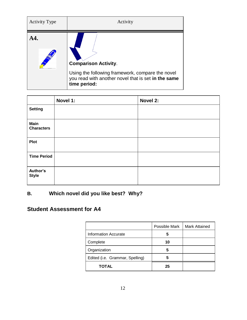| <b>Activity Type</b> | Activity                                                                                                                                               |
|----------------------|--------------------------------------------------------------------------------------------------------------------------------------------------------|
|                      | <b>Comparison Activity.</b><br>Using the following framework, compare the novel<br>you read with another novel that is set in the same<br>time period: |

|                                  | Novel 1: | Novel 2: |
|----------------------------------|----------|----------|
| <b>Setting</b>                   |          |          |
| <b>Main</b><br><b>Characters</b> |          |          |
| <b>Plot</b>                      |          |          |
| <b>Time Period</b>               |          |          |
| Author's<br><b>Style</b>         |          |          |

#### **B. Which novel did you like best? Why?**

#### **Student Assessment for A4**

|                                 | Possible Mark | <b>Mark Attained</b> |
|---------------------------------|---------------|----------------------|
| <b>Information Accurate</b>     | 5             |                      |
| Complete                        | 10            |                      |
| Organization                    | 5             |                      |
| Edited (i.e. Grammar, Spelling) | h             |                      |
| <b>TOTAL</b>                    | 25            |                      |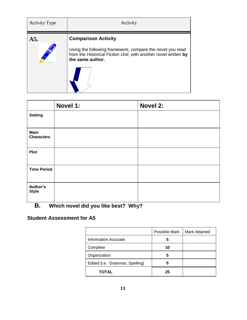| <b>Activity Type</b> | Activity                                                                                                                                                                        |
|----------------------|---------------------------------------------------------------------------------------------------------------------------------------------------------------------------------|
| A5.                  | <b>Comparison Activity.</b><br>Using the following framework, compare the novel you read<br>from the Historical Fiction Unit, with another novel written by<br>the same author. |

|                                  | Novel 1: | Novel 2: |
|----------------------------------|----------|----------|
| <b>Setting</b>                   |          |          |
| <b>Main</b><br><b>Characters</b> |          |          |
| <b>Plot</b>                      |          |          |
| <b>Time Period</b>               |          |          |
| Author's<br><b>Style</b>         |          |          |

#### **B. Which novel did you like best? Why?**

#### **Student Assessment for A5**

|                                 | Possible Mark | <b>Mark Attained</b> |
|---------------------------------|---------------|----------------------|
| <b>Information Accurate</b>     | 5             |                      |
| Complete                        | 10            |                      |
| Organization                    | 5             |                      |
| Edited (i.e. Grammar, Spelling) | 5             |                      |
| <b>TOTAL</b>                    | 25            |                      |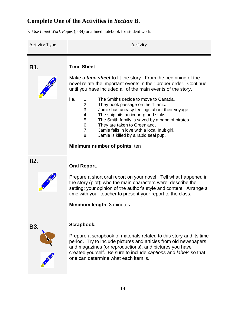#### **Complete One of the Activities in** *Section B***.**

Use *Lined Work Pages* (p.34) or a lined notebook for student work.

| <b>Activity Type</b> | Activity                                                                                                                                                                                                                                                                                                                                                                                             |  |
|----------------------|------------------------------------------------------------------------------------------------------------------------------------------------------------------------------------------------------------------------------------------------------------------------------------------------------------------------------------------------------------------------------------------------------|--|
| B1.                  | <b>Time Sheet.</b>                                                                                                                                                                                                                                                                                                                                                                                   |  |
|                      | Make a <i>time sheet</i> to fit the story. From the beginning of the<br>novel relate the important events in their proper order. Continue<br>until you have included all of the main events of the story.                                                                                                                                                                                            |  |
|                      | i.e.<br>The Smiths decide to move to Canada.<br>1.<br>2.<br>They book passage on the Titanic.<br>3.<br>Jamie has uneasy feelings about their voyage.<br>4.<br>The ship hits an iceberg and sinks.<br>5.<br>The Smith family is saved by a band of pirates.<br>6.<br>They are taken to Greenland.<br>7.<br>Jamie falls in love with a local Inuit girl.<br>8.<br>Jamie is killed by a rabid seal pup. |  |
|                      | Minimum number of points: ten                                                                                                                                                                                                                                                                                                                                                                        |  |
| <b>B2.</b>           | <b>Oral Report.</b>                                                                                                                                                                                                                                                                                                                                                                                  |  |
|                      | Prepare a short oral report on your novel. Tell what happened in<br>the story (plot); who the main characters were; describe the<br>setting; your opinion of the author's style and content. Arrange a<br>time with your teacher to present your report to the class.                                                                                                                                |  |
|                      | Minimum length: 3 minutes.                                                                                                                                                                                                                                                                                                                                                                           |  |
| B3.                  | Scrapbook.<br>Prepare a scrapbook of materials related to this story and its time<br>period. Try to include pictures and articles from old newspapers                                                                                                                                                                                                                                                |  |
|                      | and magazines (or reproductions), and pictures you have<br>created yourself. Be sure to include captions and labels so that<br>one can determine what each item is.                                                                                                                                                                                                                                  |  |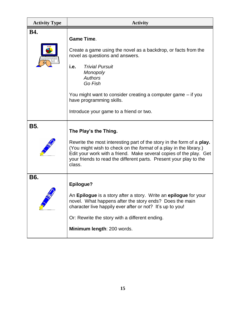| <b>Activity Type</b> | <b>Activity</b>                                                                                                                                                                                                                                                                                                                                 |
|----------------------|-------------------------------------------------------------------------------------------------------------------------------------------------------------------------------------------------------------------------------------------------------------------------------------------------------------------------------------------------|
| <b>B4.</b>           | <b>Game Time.</b><br>Create a game using the novel as a backdrop, or facts from the<br>novel as questions and answers.<br><b>Trivial Pursuit</b><br>i.e.<br><b>Monopoly</b><br><b>Authors</b><br>Go Fish<br>You might want to consider creating a computer game – if you<br>have programming skills.<br>Introduce your game to a friend or two. |
| <b>B5.</b>           | The Play's the Thing.<br>Rewrite the most interesting part of the story in the form of a play.<br>(You might wish to check on the format of a play in the library.)<br>Edit your work with a friend. Make several copies of the play. Get<br>your friends to read the different parts. Present your play to the<br>class.                       |
| B6.                  | Epilogue?<br>An <b>Epilogue</b> is a story after a story. Write an <b>epilogue</b> for your<br>novel. What happens after the story ends? Does the main<br>character live happily ever after or not? It's up to you!<br>Or: Rewrite the story with a different ending.<br>Minimum length: 200 words.                                             |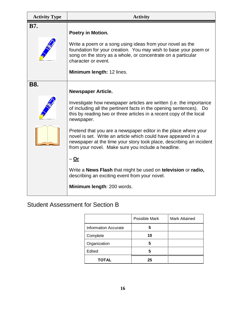| <b>Activity Type</b> | <b>Activity</b>                                                                                                                                                                                                                                                                                                                                                                                                                                                                                                                                                                                                                                                                                   |
|----------------------|---------------------------------------------------------------------------------------------------------------------------------------------------------------------------------------------------------------------------------------------------------------------------------------------------------------------------------------------------------------------------------------------------------------------------------------------------------------------------------------------------------------------------------------------------------------------------------------------------------------------------------------------------------------------------------------------------|
| <b>B7.</b>           | Poetry in Motion.<br>Write a poem or a song using ideas from your novel as the<br>foundation for your creation. You may wish to base your poem or<br>song on the story as a whole, or concentrate on a particular<br>character or event.<br>Minimum length: 12 lines.                                                                                                                                                                                                                                                                                                                                                                                                                             |
| <b>B8.</b>           | <b>Newspaper Article.</b><br>Investigate how newspaper articles are written (i.e. the importance<br>of including all the pertinent facts in the opening sentences). Do<br>this by reading two or three articles in a recent copy of the local<br>newspaper.<br>Pretend that you are a newspaper editor in the place where your<br>novel is set. Write an article which could have appeared in a<br>newspaper at the time your story took place, describing an incident<br>from your novel. Make sure you include a headline.<br>$-\underline{Or}$<br>Write a News Flash that might be used on television or radio,<br>describing an exciting event from your novel.<br>Minimum length: 200 words. |

#### Student Assessment for Section B

|                             | Possible Mark | Mark Attained |
|-----------------------------|---------------|---------------|
| <b>Information Accurate</b> | 5             |               |
| Complete                    | 10            |               |
| Organization                | 5             |               |
| Edited                      | 5             |               |
| <b>TOTAL</b>                | 25            |               |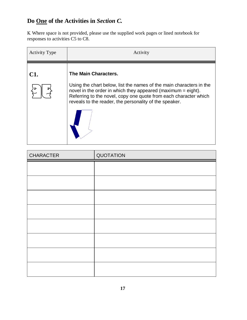#### **Do One of the Activities in** *Section C.*

 Where space is not provided, please use the supplied work pages or lined notebook for responses to activities C5 to C8.

| <b>Activity Type</b> | Activity                                                                                                                                                                                                                                                                                    |
|----------------------|---------------------------------------------------------------------------------------------------------------------------------------------------------------------------------------------------------------------------------------------------------------------------------------------|
| <b>C1.</b>           | The Main Characters.<br>Using the chart below, list the names of the main characters in the<br>novel in the order in which they appeared (maximum $=$ eight).<br>Referring to the novel, copy one quote from each character which<br>reveals to the reader, the personality of the speaker. |

| <b>CHARACTER</b> | QUOTATION |
|------------------|-----------|
|                  |           |
|                  |           |
|                  |           |
|                  |           |
|                  |           |
|                  |           |
|                  |           |
|                  |           |
|                  |           |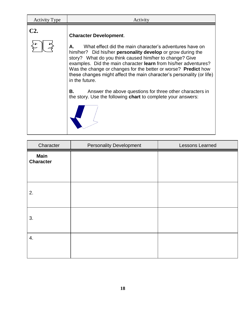| C2<br><b>Character Development.</b><br>What effect did the main character's adventures have on<br>А.                                                                                                                                                                                                                                                                                                                                                                                            | <b>Activity Type</b> | Activity |
|-------------------------------------------------------------------------------------------------------------------------------------------------------------------------------------------------------------------------------------------------------------------------------------------------------------------------------------------------------------------------------------------------------------------------------------------------------------------------------------------------|----------------------|----------|
| him/her? Did his/her <b>personality develop</b> or grow during the<br>story? What do you think caused him/her to change? Give<br>examples. Did the main character learn from his/her adventures?<br>Was the change or changes for the better or worse? Predict how<br>these changes might affect the main character's personality (or life)<br>in the future.<br>Answer the above questions for three other characters in<br>В.<br>the story. Use the following chart to complete your answers: |                      |          |

Г

| Character                       | <b>Personality Development</b> | Lessons Learned |
|---------------------------------|--------------------------------|-----------------|
| <b>Main</b><br><b>Character</b> |                                |                 |
| 2.                              |                                |                 |
| 3.                              |                                |                 |
| 4.                              |                                |                 |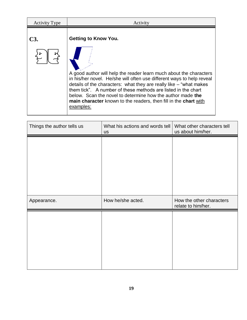| <b>Activity Type</b> | Activity                                                                                                                                                                                                                                                                                                                                                                                                                                                          |
|----------------------|-------------------------------------------------------------------------------------------------------------------------------------------------------------------------------------------------------------------------------------------------------------------------------------------------------------------------------------------------------------------------------------------------------------------------------------------------------------------|
| C3                   | <b>Getting to Know You.</b><br>A good author will help the reader learn much about the characters<br>in his/her novel. He/she will often use different ways to help reveal<br>details of the characters: what they are really like – "what makes"<br>them tick". A number of these methods are listed in the chart<br>below. Scan the novel to determine how the author made the<br>main character known to the readers, then fill in the chart with<br>examples: |

| Things the author tells us | What his actions and words tell<br><b>us</b> | What other characters tell<br>us about him/her. |
|----------------------------|----------------------------------------------|-------------------------------------------------|
|                            |                                              |                                                 |
|                            |                                              |                                                 |
|                            |                                              |                                                 |
|                            |                                              |                                                 |
|                            |                                              |                                                 |
| Appearance.                | How he/she acted.                            | How the other characters<br>relate to him/her.  |
|                            |                                              |                                                 |
|                            |                                              |                                                 |
|                            |                                              |                                                 |
|                            |                                              |                                                 |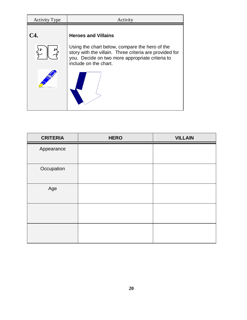| <b>Activity Type</b> | Activity                                                                                                                            |  |
|----------------------|-------------------------------------------------------------------------------------------------------------------------------------|--|
| C4.                  | <b>Heroes and Villains</b><br>Using the chart below, compare the hero of the                                                        |  |
|                      | story with the villain. Three criteria are provided for<br>you. Decide on two more appropriate criteria to<br>include on the chart. |  |
|                      |                                                                                                                                     |  |

| <b>CRITERIA</b> | <b>HERO</b> | <b>VILLAIN</b> |
|-----------------|-------------|----------------|
| Appearance      |             |                |
| Occupation      |             |                |
| Age             |             |                |
|                 |             |                |
|                 |             |                |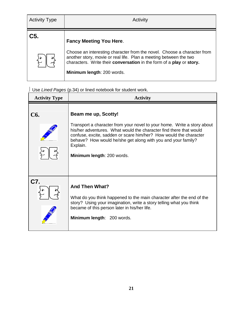| <b>Activity Type</b> | Activity                                                                                                                                                                                                                                                                             |
|----------------------|--------------------------------------------------------------------------------------------------------------------------------------------------------------------------------------------------------------------------------------------------------------------------------------|
| C5.                  | <b>Fancy Meeting You Here.</b><br>Choose an interesting character from the novel. Choose a character from<br>another story, movie or real life. Plan a meeting between the two<br>characters. Write their conversation in the form of a play or story.<br>Minimum length: 200 words. |

#### Use *Lined Pages* (p.34) or lined notebook for student work.

| <b>Activity Type</b> | <b>Activity</b>                                                                                                                                                                                                                                                                                                                                     |  |
|----------------------|-----------------------------------------------------------------------------------------------------------------------------------------------------------------------------------------------------------------------------------------------------------------------------------------------------------------------------------------------------|--|
| <b>C6.</b>           | Beam me up, Scotty!<br>Transport a character from your novel to your home. Write a story about<br>his/her adventures. What would the character find there that would<br>confuse, excite, sadden or scare him/her? How would the character<br>behave? How would he/she get along with you and your family?<br>Explain.<br>Minimum length: 200 words. |  |
| C7.                  | <b>And Then What?</b><br>What do you think happened to the main character after the end of the<br>story? Using your imagination, write a story telling what you think<br>became of this person later in his/her life.<br>Minimum length: 200 words.                                                                                                 |  |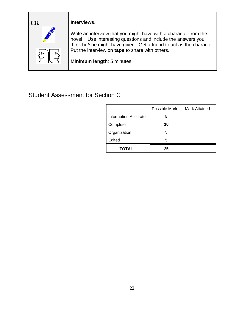

Write an interview that you might have with a character from the novel. Use interesting questions and include the answers you think he/she might have given. Get a friend to act as the character. Put the interview on **tape** to share with others.

**Minimum length**: 5 minutes

#### Student Assessment for Section C

|                             | Possible Mark | <b>Mark Attained</b> |
|-----------------------------|---------------|----------------------|
| <b>Information Accurate</b> | 5             |                      |
| Complete                    | 10            |                      |
| Organization                | 5             |                      |
| Edited                      | 5             |                      |
| <b>TOTAL</b>                | 25            |                      |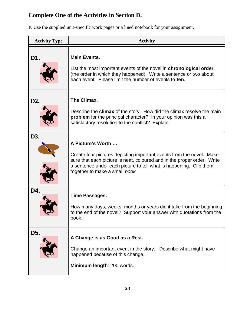#### **Complete One of the Activities in Section D.**

Use the supplied unit-specific work pages or a lined notebook for your assignment.

| <b>Activity Type</b> | <b>Activity</b>                                                                                                                                                                                                                                                                     |  |
|----------------------|-------------------------------------------------------------------------------------------------------------------------------------------------------------------------------------------------------------------------------------------------------------------------------------|--|
| D1.                  | <b>Main Events.</b><br>List the most important events of the novel in <b>chronological order</b><br>(the order in which they happened). Write a sentence or two about<br>each event. Please limit the number of events to ten.                                                      |  |
| D2.                  | The Climax.<br>Describe the <b>climax</b> of the story. How did the climax resolve the main<br>problem for the principal character? In your opinion was this a<br>satisfactory resolution to the conflict? Explain.                                                                 |  |
| D3.                  | A Picture's Worth<br>Create <u>four</u> pictures depicting important events from the novel. Make<br>sure that each picture is neat, coloured and in the proper order. Write<br>a sentence under each picture to tell what is happening. Clip them<br>together to make a small book. |  |
| D4.                  | <b>Time Passages.</b><br>How many days, weeks, months or years did it take from the beginning<br>to the end of the novel? Support your answer with quotations from the<br>book.                                                                                                     |  |
| D5.                  | A Change is as Good as a Rest.<br>Change an important event in the story.<br>Describe what might have<br>happened because of this change.<br>Minimum length: 200 words.                                                                                                             |  |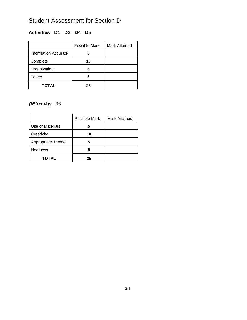#### Student Assessment for Section D

#### **Activities D1 D2 D4 D5**

|                      | Possible Mark | <b>Mark Attained</b> |
|----------------------|---------------|----------------------|
| Information Accurate | 5             |                      |
| Complete             | 10            |                      |
| Organization         | 5             |                      |
| Edited               | 5             |                      |
| <b>TOTAL</b>         | 25            |                      |

#### or **Activity D3**

|                   | Possible Mark | <b>Mark Attained</b> |
|-------------------|---------------|----------------------|
| Use of Materials  | 5             |                      |
| Creativity        | 10            |                      |
| Appropriate Theme | 5             |                      |
| <b>Neatness</b>   | 5             |                      |
| <b>TOTAL</b>      | 25            |                      |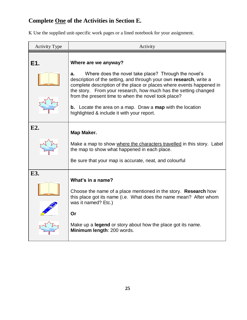#### **Complete One of the Activities in Section E.**

Use the supplied unit-specific work pages or a lined notebook for your assignment.

| <b>Activity Type</b> | Activity                                                                                                                                                                                                                                                                                                                                                                                                                                                                            |
|----------------------|-------------------------------------------------------------------------------------------------------------------------------------------------------------------------------------------------------------------------------------------------------------------------------------------------------------------------------------------------------------------------------------------------------------------------------------------------------------------------------------|
| E1.                  | Where are we anyway?<br>Where does the novel take place? Through the novel's<br>а.<br>description of the setting, and through your own research, write a<br>complete description of the place or places where events happened in<br>the story. From your research, how much has the setting changed<br>from the present time to when the novel took place?<br><b>b.</b> Locate the area on a map. Draw a <b>map</b> with the location<br>highlighted & include it with your report. |
| E2.                  | Map Maker.<br>Make a map to show where the characters travelled in this story. Label<br>the map to show what happened in each place.<br>Be sure that your map is accurate, neat, and colourful                                                                                                                                                                                                                                                                                      |
| E3.                  | What's in a name?<br>Choose the name of a place mentioned in the story. Research how<br>this place got its name (i.e. What does the name mean? After whom<br>was it named? Etc.)<br>Or<br>Make up a <b>legend</b> or story about how the place got its name.<br>Minimum length: 200 words.                                                                                                                                                                                          |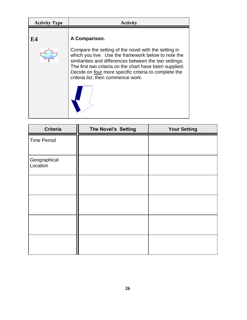| <b>Activity Type</b> | <b>Activity</b>                                                                                                                                                                                                                                                                                                                                  |
|----------------------|--------------------------------------------------------------------------------------------------------------------------------------------------------------------------------------------------------------------------------------------------------------------------------------------------------------------------------------------------|
| <b>E4</b>            | A Comparison.<br>Compare the setting of the novel with the setting in<br>which you live. Use the framework below to note the<br>similarities and differences between the two settings.<br>The first two criteria on the chart have been supplied.<br>Decide on four more specific criteria to complete the<br>criteria list, then commence work. |
|                      |                                                                                                                                                                                                                                                                                                                                                  |

| <b>Criteria</b>          | The Novel's Setting | <b>Your Setting</b> |
|--------------------------|---------------------|---------------------|
| <b>Time Period</b>       |                     |                     |
| Geographical<br>Location |                     |                     |
|                          |                     |                     |
|                          |                     |                     |
|                          |                     |                     |
|                          |                     |                     |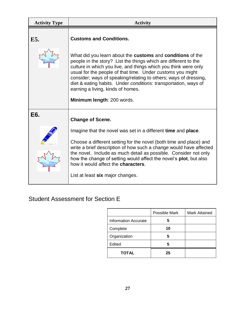| <b>Activity Type</b> | <b>Activity</b>                                                                                                                                                                                                                                                                                                                                                                                                                                                              |
|----------------------|------------------------------------------------------------------------------------------------------------------------------------------------------------------------------------------------------------------------------------------------------------------------------------------------------------------------------------------------------------------------------------------------------------------------------------------------------------------------------|
| E5.                  | <b>Customs and Conditions.</b><br>What did you learn about the customs and conditions of the<br>people in the story? List the things which are different to the<br>culture in which you live, and things which you think were only<br>usual for the people of that time. Under customs you might<br>consider; ways of speaking/relating to others; ways of dressing,<br>diet & eating habits. Under conditions: transportation, ways of<br>earning a living, kinds of homes. |
|                      | Minimum length: 200 words.                                                                                                                                                                                                                                                                                                                                                                                                                                                   |
| E6.                  | <b>Change of Scene.</b>                                                                                                                                                                                                                                                                                                                                                                                                                                                      |
|                      | Imagine that the novel was set in a different time and place.<br>Choose a different setting for the novel (both time and place) and<br>write a brief description of how such a change would have affected<br>the novel. Include as much detail as possible. Consider not only<br>how the change of setting would affect the novel's <b>plot</b> , but also<br>how it would affect the <b>characters</b> .<br>List at least six major changes.                                |

#### Student Assessment for Section E

|                             | Possible Mark | Mark Attained |
|-----------------------------|---------------|---------------|
| <b>Information Accurate</b> | 5             |               |
| Complete                    | 10            |               |
| Organization                | 5             |               |
| Edited                      | 5             |               |
| <b>TOTAL</b>                | 25            |               |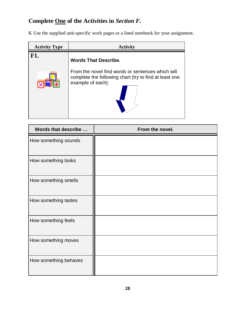#### **Complete One of the Activities in** *Section F.*

Use the supplied unit-specific work pages or a lined notebook for your assignment.

| <b>Activity Type</b> | <b>Activity</b>                                                                                                                                                 |
|----------------------|-----------------------------------------------------------------------------------------------------------------------------------------------------------------|
| <b>F1.</b>           | <b>Words That Describe.</b><br>From the novel find words or sentences which will<br>complete the following chart (try to find at least one<br>example of each): |

| Words that describe   | From the novel. |
|-----------------------|-----------------|
| How something sounds  |                 |
| How something looks   |                 |
| How something smells  |                 |
| How something tastes  |                 |
| How something feels   |                 |
| How something moves   |                 |
| How something behaves |                 |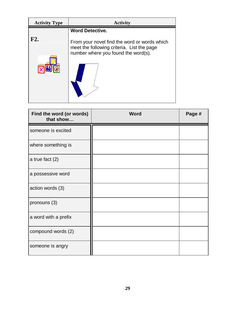| <b>Activity Type</b> | <b>Activity</b>                                                                                                                   |
|----------------------|-----------------------------------------------------------------------------------------------------------------------------------|
|                      | <b>Word Detective.</b>                                                                                                            |
| F2.                  | From your novel find the word or words which<br>meet the following criteria. List the page<br>number where you found the word(s). |

| Find the word (or words)<br>that show | <b>Word</b> | Page # |
|---------------------------------------|-------------|--------|
| someone is excited                    |             |        |
| where something is                    |             |        |
| a true fact $(2)$                     |             |        |
| a possessive word                     |             |        |
| action words (3)                      |             |        |
| pronouns (3)                          |             |        |
| a word with a prefix                  |             |        |
| compound words (2)                    |             |        |
| someone is angry                      |             |        |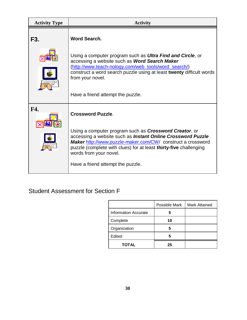| <b>Activity Type</b> | <b>Activity</b>                                                                                                                                                                                                                                                                                                                                              |
|----------------------|--------------------------------------------------------------------------------------------------------------------------------------------------------------------------------------------------------------------------------------------------------------------------------------------------------------------------------------------------------------|
| F3.                  | Word Search.                                                                                                                                                                                                                                                                                                                                                 |
|                      | Using a computer program such as <b>Ultra Find and Circle</b> , or<br>accessing a website such as Word Search Maker<br>(http://www.teach-nology.com/web_tools/word_search/)<br>construct a word search puzzle using at least twenty difficult words<br>from your novel.<br>Have a friend attempt the puzzle.                                                 |
| F4.                  | <b>Crossword Puzzle.</b><br>Using a computer program such as <b>Crossword Creator</b> , or<br>accessing a website such as Instant Online Crossword Puzzle<br>Maker http://www.puzzle-maker.com/CW/ construct a crossword<br>puzzle (complete with clues) for at least thirty-five challenging<br>words from your novel.<br>Have a friend attempt the puzzle. |

#### Student Assessment for Section F

|                             | Possible Mark | <b>Mark Attained</b> |
|-----------------------------|---------------|----------------------|
| <b>Information Accurate</b> | 5             |                      |
| Complete                    | 10            |                      |
| Organization                | 5             |                      |
| Edited                      | 5             |                      |
| <b>TOTAL</b>                | 25            |                      |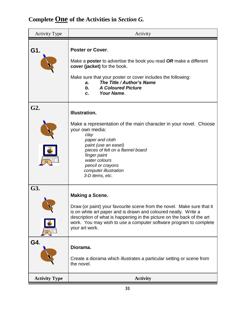### **Complete One of the Activities in** *Section G.*

| <b>Activity Type</b> | Activity                                                                                                                                                                                                                                                                                                                             |  |  |
|----------------------|--------------------------------------------------------------------------------------------------------------------------------------------------------------------------------------------------------------------------------------------------------------------------------------------------------------------------------------|--|--|
| G1.                  | <b>Poster or Cover.</b><br>Make a <b>poster</b> to advertise the book you read OR make a different<br>cover (jacket) for the book.<br>Make sure that your poster or cover includes the following:<br>The Title / Author's Name<br>a.<br><b>A Coloured Picture</b><br>b.<br>Your Name.<br>C.                                          |  |  |
| G2.                  | <b>Illustration.</b><br>Make a representation of the main character in your novel. Choose<br>your own media:<br>clay<br>paper and cloth<br>paint (use an easel)<br>pieces of felt on a flannel board<br>finger paint<br>water colours<br>pencil or crayons<br>computer illustration<br>3-D items, etc.                               |  |  |
| G3.<br>G4.           | <b>Making a Scene.</b><br>Draw (or paint) your favourite scene from the novel. Make sure that it<br>is on white art paper and is drawn and coloured neatly. Write a<br>description of what is happening in the picture on the back of the art<br>work. You may wish to use a computer software program to complete<br>your art work. |  |  |
| <b>Activity Type</b> | Diorama.<br>Create a diorama which illustrates a particular setting or scene from<br>the novel.<br><b>Activity</b>                                                                                                                                                                                                                   |  |  |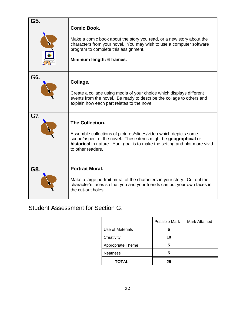| G5. | <b>Comic Book.</b><br>Make a comic book about the story you read, or a new story about the<br>characters from your novel. You may wish to use a computer software<br>program to complete this assignment.<br>Minimum length: 6 frames.                           |
|-----|------------------------------------------------------------------------------------------------------------------------------------------------------------------------------------------------------------------------------------------------------------------|
| G6. | Collage.<br>Create a collage using media of your choice which displays different<br>events from the novel. Be ready to describe the collage to others and<br>explain how each part relates to the novel.                                                         |
| G7. | <b>The Collection.</b><br>Assemble collections of pictures/slides/video which depicts some<br>scene/aspect of the novel. These items might be geographical or<br>historical in nature. Your goal is to make the setting and plot more vivid<br>to other readers. |
| G8. | <b>Portrait Mural.</b><br>Make a large portrait mural of the characters in your story. Cut out the<br>character's faces so that you and your friends can put your own faces in<br>the cut-out holes.                                                             |

#### Student Assessment for Section G.

|                   | Possible Mark | <b>Mark Attained</b> |
|-------------------|---------------|----------------------|
| Use of Materials  | b             |                      |
| Creativity        | 10            |                      |
| Appropriate Theme | 5             |                      |
| <b>Neatness</b>   | 5             |                      |
| <b>TOTAL</b>      | 25            |                      |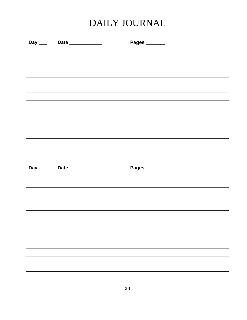### DAILY JOURNAL

| Day ____ Date ___________     | Pages ______  |
|-------------------------------|---------------|
|                               |               |
|                               |               |
|                               |               |
|                               |               |
|                               |               |
|                               |               |
|                               |               |
|                               |               |
|                               |               |
|                               |               |
|                               |               |
|                               |               |
|                               |               |
|                               |               |
|                               |               |
|                               |               |
| Day _____ Date ______________ | Pages _______ |
|                               |               |
|                               |               |
|                               |               |
|                               |               |
|                               |               |
|                               |               |
|                               |               |
|                               |               |
|                               |               |
|                               |               |
|                               |               |
|                               |               |
|                               |               |